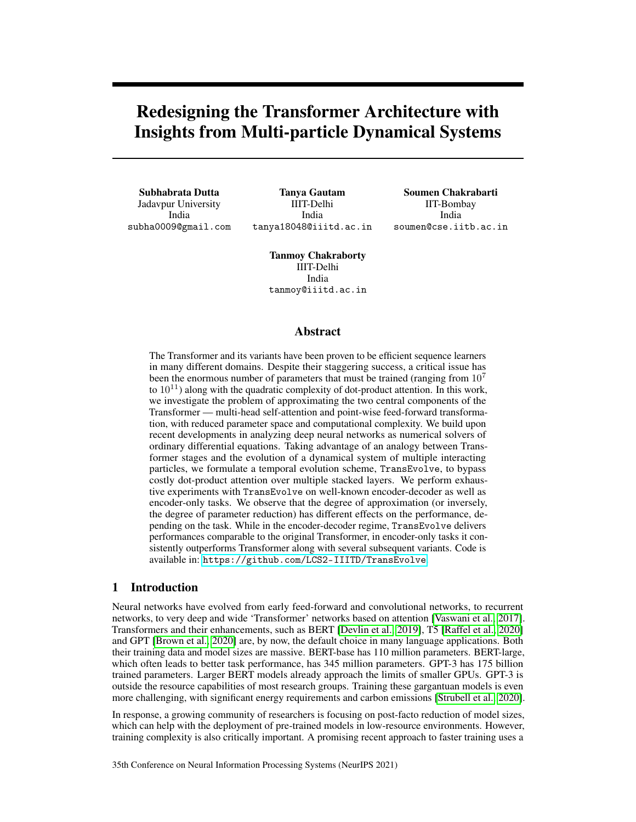# Redesigning the Transformer Architecture with Insights from Multi-particle Dynamical Systems

Subhabrata Dutta Jadavpur University India subha0009@gmail.com

Tanya Gautam IIIT-Delhi India tanya18048@iiitd.ac.in

Soumen Chakrabarti IIT-Bombay India soumen@cse.iitb.ac.in

Tanmoy Chakraborty IIIT-Delhi India tanmoy@iiitd.ac.in

#### Abstract

The Transformer and its variants have been proven to be efficient sequence learners in many different domains. Despite their staggering success, a critical issue has been the enormous number of parameters that must be trained (ranging from  $10<sup>7</sup>$ to  $10^{11}$ ) along with the quadratic complexity of dot-product attention. In this work, we investigate the problem of approximating the two central components of the Transformer — multi-head self-attention and point-wise feed-forward transformation, with reduced parameter space and computational complexity. We build upon recent developments in analyzing deep neural networks as numerical solvers of ordinary differential equations. Taking advantage of an analogy between Transformer stages and the evolution of a dynamical system of multiple interacting particles, we formulate a temporal evolution scheme, TransEvolve, to bypass costly dot-product attention over multiple stacked layers. We perform exhaustive experiments with TransEvolve on well-known encoder-decoder as well as encoder-only tasks. We observe that the degree of approximation (or inversely, the degree of parameter reduction) has different effects on the performance, depending on the task. While in the encoder-decoder regime, TransEvolve delivers performances comparable to the original Transformer, in encoder-only tasks it consistently outperforms Transformer along with several subsequent variants. Code is available in: <https://github.com/LCS2-IIITD/TransEvolve>.

## 1 Introduction

Neural networks have evolved from early feed-forward and convolutional networks, to recurrent networks, to very deep and wide 'Transformer' networks based on attention [\[Vaswani et al., 2017\]](#page-12-0). Transformers and their enhancements, such as BERT [\[Devlin et al., 2019\]](#page-10-0), T5 [\[Raffel et al., 2020\]](#page-12-1) and GPT [\[Brown et al., 2020\]](#page-10-1) are, by now, the default choice in many language applications. Both their training data and model sizes are massive. BERT-base has 110 million parameters. BERT-large, which often leads to better task performance, has 345 million parameters. GPT-3 has 175 billion trained parameters. Larger BERT models already approach the limits of smaller GPUs. GPT-3 is outside the resource capabilities of most research groups. Training these gargantuan models is even more challenging, with significant energy requirements and carbon emissions [\[Strubell et al., 2020\]](#page-12-2).

In response, a growing community of researchers is focusing on post-facto reduction of model sizes, which can help with the deployment of pre-trained models in low-resource environments. However, training complexity is also critically important. A promising recent approach to faster training uses a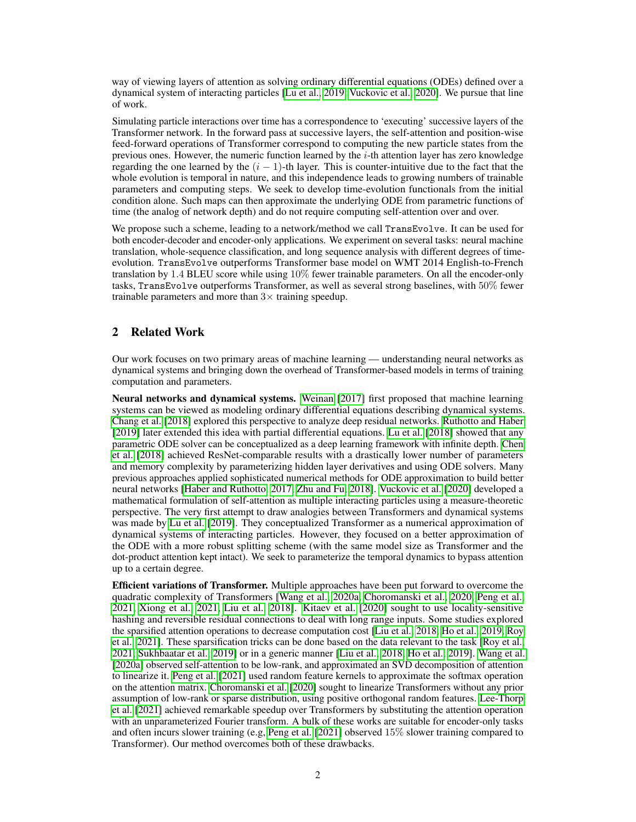way of viewing layers of attention as solving ordinary differential equations (ODEs) defined over a dynamical system of interacting particles [\[Lu et al., 2019,](#page-11-0) [Vuckovic et al., 2020\]](#page-12-3). We pursue that line of work.

Simulating particle interactions over time has a correspondence to 'executing' successive layers of the Transformer network. In the forward pass at successive layers, the self-attention and position-wise feed-forward operations of Transformer correspond to computing the new particle states from the previous ones. However, the numeric function learned by the  $i$ -th attention layer has zero knowledge regarding the one learned by the  $(i - 1)$ -th layer. This is counter-intuitive due to the fact that the whole evolution is temporal in nature, and this independence leads to growing numbers of trainable parameters and computing steps. We seek to develop time-evolution functionals from the initial condition alone. Such maps can then approximate the underlying ODE from parametric functions of time (the analog of network depth) and do not require computing self-attention over and over.

We propose such a scheme, leading to a network/method we call TransEvolve. It can be used for both encoder-decoder and encoder-only applications. We experiment on several tasks: neural machine translation, whole-sequence classification, and long sequence analysis with different degrees of timeevolution. TransEvolve outperforms Transformer base model on WMT 2014 English-to-French translation by 1.4 BLEU score while using 10% fewer trainable parameters. On all the encoder-only tasks, TransEvolve outperforms Transformer, as well as several strong baselines, with 50% fewer trainable parameters and more than  $3\times$  training speedup.

# 2 Related Work

Our work focuses on two primary areas of machine learning — understanding neural networks as dynamical systems and bringing down the overhead of Transformer-based models in terms of training computation and parameters.

Neural networks and dynamical systems. [Weinan](#page-12-4) [\[2017\]](#page-12-4) first proposed that machine learning systems can be viewed as modeling ordinary differential equations describing dynamical systems. [Chang et al.](#page-10-2) [\[2018\]](#page-10-2) explored this perspective to analyze deep residual networks. [Ruthotto and Haber](#page-12-5) [\[2019\]](#page-12-5) later extended this idea with partial differential equations. [Lu et al.](#page-11-1) [\[2018\]](#page-11-1) showed that any parametric ODE solver can be conceptualized as a deep learning framework with infinite depth. [Chen](#page-10-3) [et al.](#page-10-3) [\[2018\]](#page-10-3) achieved ResNet-comparable results with a drastically lower number of parameters and memory complexity by parameterizing hidden layer derivatives and using ODE solvers. Many previous approaches applied sophisticated numerical methods for ODE approximation to build better neural networks [\[Haber and Ruthotto, 2017,](#page-10-4) [Zhu and Fu, 2018\]](#page-13-0). [Vuckovic et al.](#page-12-3) [\[2020\]](#page-12-3) developed a mathematical formulation of self-attention as multiple interacting particles using a measure-theoretic perspective. The very first attempt to draw analogies between Transformers and dynamical systems was made by [Lu et al.](#page-11-0) [\[2019\]](#page-11-0). They conceptualized Transformer as a numerical approximation of dynamical systems of interacting particles. However, they focused on a better approximation of the ODE with a more robust splitting scheme (with the same model size as Transformer and the dot-product attention kept intact). We seek to parameterize the temporal dynamics to bypass attention up to a certain degree.

Efficient variations of Transformer. Multiple approaches have been put forward to overcome the quadratic complexity of Transformers [\[Wang et al., 2020a,](#page-12-6) [Choromanski et al., 2020,](#page-10-5) [Peng et al.,](#page-11-2) [2021,](#page-11-2) [Xiong et al., 2021,](#page-12-7) [Liu et al., 2018\]](#page-11-3). [Kitaev et al.](#page-11-4) [\[2020\]](#page-11-4) sought to use locality-sensitive hashing and reversible residual connections to deal with long range inputs. Some studies explored the sparsified attention operations to decrease computation cost [\[Liu et al., 2018,](#page-11-3) [Ho et al., 2019,](#page-10-6) [Roy](#page-12-8) [et al., 2021\]](#page-12-8). These sparsification tricks can be done based on the data relevant to the task [\[Roy et al.,](#page-12-8) [2021,](#page-12-8) [Sukhbaatar et al., 2019\]](#page-12-9) or in a generic manner [\[Liu et al., 2018,](#page-11-3) [Ho et al., 2019\]](#page-10-6). [Wang et al.](#page-12-6) [\[2020a\]](#page-12-6) observed self-attention to be low-rank, and approximated an SVD decomposition of attention to linearize it. [Peng et al.](#page-11-2) [\[2021\]](#page-11-2) used random feature kernels to approximate the softmax operation on the attention matrix. [Choromanski et al.](#page-10-5) [\[2020\]](#page-10-5) sought to linearize Transformers without any prior assumption of low-rank or sparse distribution, using positive orthogonal random features. [Lee-Thorp](#page-11-5) [et al.](#page-11-5) [\[2021\]](#page-11-5) achieved remarkable speedup over Transformers by substituting the attention operation with an unparameterized Fourier transform. A bulk of these works are suitable for encoder-only tasks and often incurs slower training (e.g, [Peng et al.](#page-11-2) [\[2021\]](#page-11-2) observed 15% slower training compared to Transformer). Our method overcomes both of these drawbacks.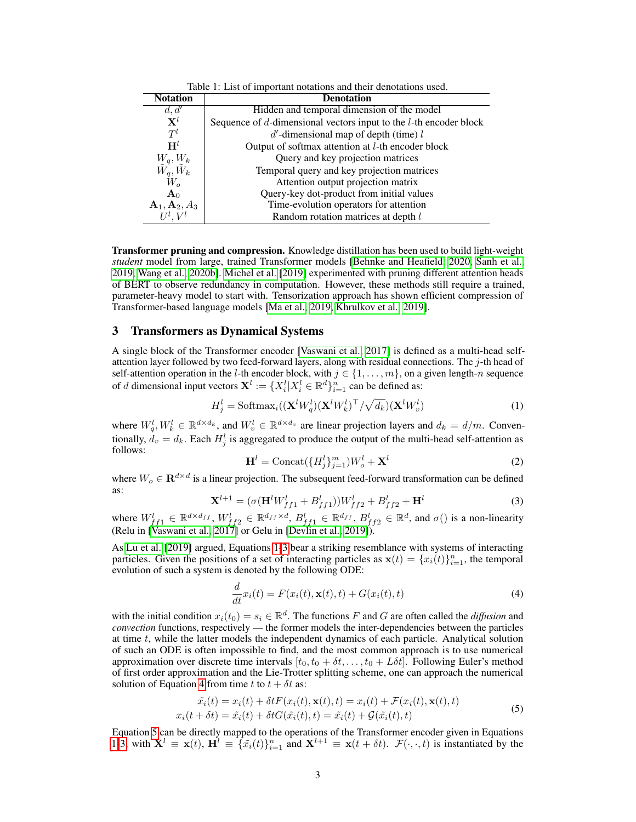| Table 1: List of important notations and their denotations used. |                                                                         |  |  |  |
|------------------------------------------------------------------|-------------------------------------------------------------------------|--|--|--|
| <b>Notation</b>                                                  | <b>Denotation</b>                                                       |  |  |  |
| d, d'                                                            | Hidden and temporal dimension of the model                              |  |  |  |
| $\mathbf{X}^l$                                                   | Sequence of $d$ -dimensional vectors input to the $l$ -th encoder block |  |  |  |
| $T^l$                                                            | $d'$ -dimensional map of depth (time) l                                 |  |  |  |
| $H^l$                                                            | Output of softmax attention at <i>l</i> -th encoder block               |  |  |  |
| $W_q, W_k$                                                       | Query and key projection matrices                                       |  |  |  |
| $\tilde{W_q}, \tilde{W}_k$                                       | Temporal query and key projection matrices                              |  |  |  |
| $W_{\alpha}$                                                     | Attention output projection matrix                                      |  |  |  |
| $\mathbf{A}_0$                                                   | Query-key dot-product from initial values                               |  |  |  |
| $\mathbf{A}_1, \mathbf{A}_2, A_3$                                | Time-evolution operators for attention                                  |  |  |  |
|                                                                  | Random rotation matrices at depth l                                     |  |  |  |

Transformer pruning and compression. Knowledge distillation has been used to build light-weight *student* model from large, trained Transformer models [\[Behnke and Heafield, 2020,](#page-10-7) [Sanh et al.,](#page-12-10) [2019,](#page-12-10) [Wang et al., 2020b\]](#page-12-11). [Michel et al.](#page-11-6) [\[2019\]](#page-11-6) experimented with pruning different attention heads of BERT to observe redundancy in computation. However, these methods still require a trained, parameter-heavy model to start with. Tensorization approach has shown efficient compression of Transformer-based language models [\[Ma et al., 2019,](#page-11-7) [Khrulkov et al., 2019\]](#page-11-8).

#### <span id="page-2-5"></span>3 Transformers as Dynamical Systems

A single block of the Transformer encoder [\[Vaswani et al., 2017\]](#page-12-0) is defined as a multi-head selfattention layer followed by two feed-forward layers, along with residual connections. The  $j$ -th head of self-attention operation in the *l*-th encoder block, with  $j \in \{1, ..., m\}$ , on a given length-n sequence of d dimensional input vectors  $\mathbf{X}^l := \{X_i^l | X_i^l \in \mathbb{R}^d\}_{i=1}^n$  can be defined as:

$$
H_j^l = \text{Softmax}_i((\mathbf{X}^l W_q^l)(\mathbf{X}^l W_k^l)^\top / \sqrt{d_k})(\mathbf{X}^l W_v^l) \tag{1}
$$

<span id="page-2-4"></span>where  $W_q^l, W_k^l \in \mathbb{R}^{d \times d_k}$ , and  $W_v^l \in \mathbb{R}^{d \times d_v}$  are linear projection layers and  $d_k = d/m$ . Conventionally,  $d_v = d_k$ . Each  $H_j^l$  is aggregated to produce the output of the multi-head self-attention as follows:

<span id="page-2-0"></span>
$$
\mathbf{H}^{l} = \text{Concat}(\{H_j^l\}_{j=1}^m)W_o^l + \mathbf{X}^l
$$
\n(2)

<span id="page-2-1"></span>where  $W_o \in \mathbf{R}^{d \times d}$  is a linear projection. The subsequent feed-forward transformation can be defined as:

$$
\mathbf{X}^{l+1} = (\sigma(\mathbf{H}^l W_{ff1}^l + B_{ff1}^l))W_{ff2}^l + B_{ff2}^l + \mathbf{H}^l
$$
\n(3)

where  $W_{f}^l{}_{f1} \in \mathbb{R}^{d \times d_{ff}}$ ,  $W_{f}^l{}_{f2} \in \mathbb{R}^{d_{ff} \times d}$ ,  $B_{f}^l{}_{f1} \in \mathbb{R}^{d_{ff}}$ ,  $B_{f}^l{}_{f2} \in \mathbb{R}^d$ , and  $\sigma()$  is a non-linearity (Relu in [\[Vaswani et al., 2017\]](#page-12-0) or Gelu in [\[Devlin et al., 2019\]](#page-10-0)).

As [Lu et al.](#page-11-0) [\[2019\]](#page-11-0) argued, Equations [1-](#page-2-0)[3](#page-2-1) bear a striking resemblance with systems of interacting particles. Given the positions of a set of interacting particles as  $\mathbf{x}(t) = \{x_i(t)\}_{i=1}^n$ , the temporal evolution of such a system is denoted by the following ODE:

<span id="page-2-3"></span><span id="page-2-2"></span>
$$
\frac{d}{dt}x_i(t) = F(x_i(t), \mathbf{x}(t), t) + G(x_i(t), t)
$$
\n(4)

with the initial condition  $x_i(t_0) = s_i \in \mathbb{R}^d$ . The functions F and G are often called the *diffusion* and *convection* functions, respectively — the former models the inter-dependencies between the particles at time  $t$ , while the latter models the independent dynamics of each particle. Analytical solution of such an ODE is often impossible to find, and the most common approach is to use numerical approximation over discrete time intervals  $[t_0, t_0 + \delta t, \ldots, t_0 + L\delta t]$ . Following Euler's method of first order approximation and the Lie-Trotter splitting scheme, one can approach the numerical solution of Equation [4](#page-2-2) from time t to  $t + \delta t$  as:

$$
\tilde{x}_i(t) = x_i(t) + \delta t F(x_i(t), \mathbf{x}(t), t) = x_i(t) + \mathcal{F}(x_i(t), \mathbf{x}(t), t)
$$
  

$$
x_i(t + \delta t) = \tilde{x}_i(t) + \delta t G(\tilde{x}_i(t), t) = \tilde{x}_i(t) + \mathcal{G}(\tilde{x}_i(t), t)
$$
 (5)

Equation [5](#page-2-3) can be directly mapped to the operations of the Transformer encoder given in Equations [1](#page-2-0)[-3,](#page-2-1) with  $\mathbf{X}^l \equiv \mathbf{x}(t)$ ,  $\mathbf{H}^l \equiv \{\tilde{x}_i(t)\}_{i=1}^n$  and  $\mathbf{X}^{l+1} \equiv \mathbf{x}(t + \delta t)$ .  $\mathcal{F}(\cdot, \cdot, t)$  is instantiated by the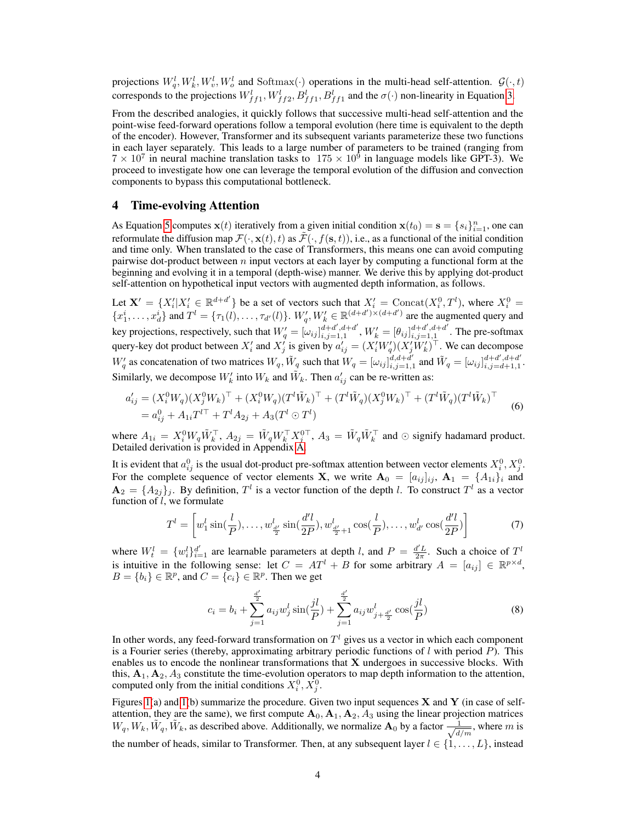projections  $W_q^l, W_k^l, W_v^l, W_o^l$  and Softmax $(\cdot)$  operations in the multi-head self-attention.  $\mathcal{G}(\cdot, t)$ corresponds to the projections  $W_{ff1}^l$ ,  $W_{ff2}^l$ ,  $B_{ff1}^l$ ,  $B_{ff1}^l$  and the  $\sigma(\cdot)$  non-linearity in Equation [3.](#page-2-1)

From the described analogies, it quickly follows that successive multi-head self-attention and the point-wise feed-forward operations follow a temporal evolution (here time is equivalent to the depth of the encoder). However, Transformer and its subsequent variants parameterize these two functions in each layer separately. This leads to a large number of parameters to be trained (ranging from  $7 \times 10^7$  in neural machine translation tasks to  $175 \times 10^6$  in language models like GPT-3). We proceed to investigate how one can leverage the temporal evolution of the diffusion and convection components to bypass this computational bottleneck.

## <span id="page-3-1"></span>4 Time-evolving Attention

As Equation [5](#page-2-3) computes  $\mathbf{x}(t)$  iteratively from a given initial condition  $\mathbf{x}(t_0) = \mathbf{s} = \{s_i\}_{i=1}^n$ , one can reformulate the diffusion map  $\mathcal{F}(\cdot, \mathbf{x}(t), t)$  as  $\tilde{\mathcal{F}}(\cdot, f(\mathbf{s}, t))$ , i.e., as a functional of the initial condition and time only. When translated to the case of Transformers, this means one can avoid computing pairwise dot-product between  $n$  input vectors at each layer by computing a functional form at the beginning and evolving it in a temporal (depth-wise) manner. We derive this by applying dot-product self-attention on hypothetical input vectors with augmented depth information, as follows.

Let  $X' = \{X'_i | X'_i \in \mathbb{R}^{d+d'}\}$  be a set of vectors such that  $X'_i = \text{Concat}(X_i^0, T^l)$ , where  $X_i^0 =$  ${x_1^i, \ldots, x_d^i}$  and  $T^l = {\tau_1(l), \ldots, \tau_{d'}(l)}$ .  $W'_q, W'_k \in \mathbb{R}^{(d+d')\times (d+d')}$  are the augmented query and key projections, respectively, such that  $W'_q = [\omega_{ij}]_{i,j=1,1}^{d+d',d+d'}$  $_{i,j=1,1}^{d+d',d+d'}$ ,  $W'_k = [\theta_{ij}]_{i,j=1,1}^{d+d',d+d'}$  $\prod_{i,j=1,1}^{a+a}$  . The pre-softmax query-key dot product between  $X'_i$  and  $X'_j$  is given by  $a'_{ij} = (X'_i W'_q)(X'_j W'_k)^\top$ . We can decompose  $W'_q$  as concatenation of two matrices  $W_q$ ,  $\tilde{W}_q$  such that  $W_q = [\omega_{ij}]_{i,j=1,1}^{d,d+d'}$  $\tilde{d}_i d + \tilde{d}'_i$  and  $\tilde{W}_q = [\omega_{ij}]_{i,j=d+1,1}^{d+d',d+d'}$  $_{i,j=d+1,1}^{a+a}$ . Similarly, we decompose  $W'_k$  into  $W_k$  and  $\tilde{W}_k$ . Then  $a'_{ij}$  can be re-written as:

$$
a'_{ij} = (X_i^0 W_q)(X_j^0 W_k)^\top + (X_i^0 W_q)(T^l \tilde{W}_k)^\top + (T^l \tilde{W}_q)(X_j^0 W_k)^\top + (T^l \tilde{W}_q)(T^l \tilde{W}_k)^\top
$$
  
=  $a_{ij}^0 + A_{1i} T^{l\top} + T^l A_{2j} + A_3 (T^l \odot T^l)$  (6)

where  $A_{1i} = X_i^0 W_q \tilde{W}_k^{\top}$ ,  $A_{2j} = \tilde{W}_q W_k^{\top} X_j^{0\top}$ ,  $A_3 = \tilde{W}_q \tilde{W}_k^{\top}$  and  $\odot$  signify hadamard product. Detailed derivation is provided in Appendix [A.](#page--1-0)

It is evident that  $a_{ij}^0$  is the usual dot-product pre-softmax attention between vector elements  $X_i^0, X_j^0$ . For the complete sequence of vector elements **X**, we write  $\mathbf{A}_0 = [a_{ij}]_{ij}$ ,  $\mathbf{A}_1 = \{A_{1i}\}_i$  and  $\mathbf{A}_2 = \{A_{2j}\}_j$ . By definition,  $T^l$  is a vector function of the depth l. To construct  $T^l$  as a vector function of  $l$ , we formulate

<span id="page-3-0"></span>
$$
T^{l} = \left[ w_1^{l} \sin(\frac{l}{P}), \dots, w_{\frac{d'}{2}}^{l} \sin(\frac{d'l}{2P}), w_{\frac{d'}{2}+1}^{l} \cos(\frac{l}{P}), \dots, w_{d'}^{l} \cos(\frac{d'l}{2P}) \right]
$$
(7)

where  $W_t^l = \{w_i^l\}_{i=1}^{d'}$  are learnable parameters at depth *l*, and  $P = \frac{d'L}{2\pi}$ . Such a choice of  $T^l$ is intuitive in the following sense: let  $C = AT^l + B$  for some arbitrary  $A = [a_{ij}] \in \mathbb{R}^{p \times d}$ ,  $B = \{b_i\} \in \mathbb{R}^p$ , and  $C = \{c_i\} \in \mathbb{R}^p$ . Then we get

$$
c_i = b_i + \sum_{j=1}^{\frac{d'}{2}} a_{ij} w_j^l \sin(\frac{jl}{P}) + \sum_{j=1}^{\frac{d'}{2}} a_{ij} w_{j+\frac{d'}{2}}^l \cos(\frac{jl}{P})
$$
 (8)

In other words, any feed-forward transformation on  $T<sup>l</sup>$  gives us a vector in which each component is a Fourier series (thereby, approximating arbitrary periodic functions of  $l$  with period  $P$ ). This enables us to encode the nonlinear transformations that  $X$  undergoes in successive blocks. With this,  $A_1, A_2, A_3$  constitute the time-evolution operators to map depth information to the attention, computed only from the initial conditions  $X_i^0, X_j^0$ .

Figures [1\(](#page-4-0)a) and 1(b) summarize the procedure. Given two input sequences  $X$  and  $Y$  (in case of selfattention, they are the same), we first compute  $A_0$ ,  $A_1$ ,  $A_2$ ,  $A_3$  using the linear projection matrices  $W_q, W_k, \tilde{W}_q, \tilde{W}_k$ , as described above. Additionally, we normalize  $\mathbf{A}_0$  by a factor  $\frac{1}{\sqrt{1}}$  $\frac{1}{d/m}$ , where m is the number of heads, similar to Transformer. Then, at any subsequent layer  $l \in \{1, \ldots, L\}$ , instead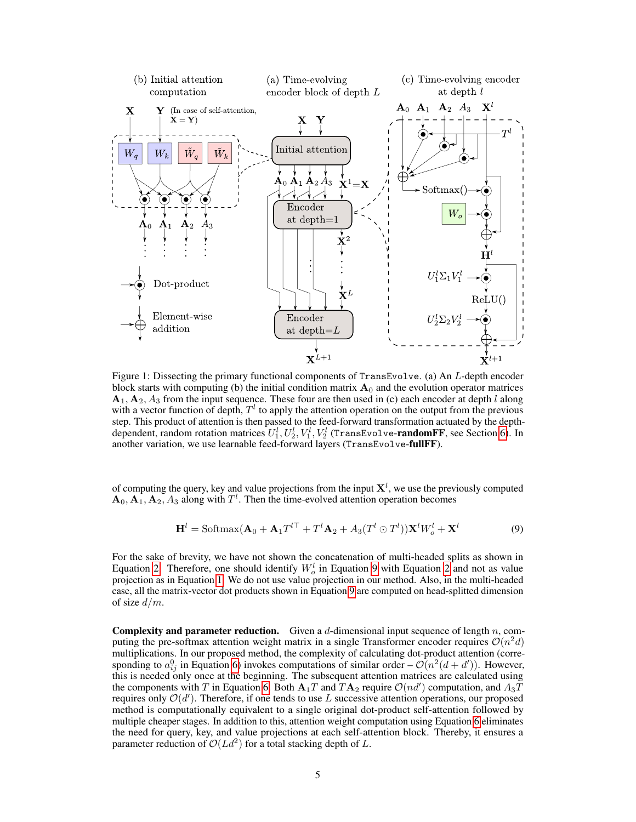<span id="page-4-0"></span>

Figure 1: Dissecting the primary functional components of TransEvolve. (a) An L-depth encoder block starts with computing (b) the initial condition matrix  $A_0$  and the evolution operator matrices  $A_1, A_2, A_3$  from the input sequence. These four are then used in (c) each encoder at depth l along with a vector function of depth,  $T<sup>l</sup>$  to apply the attention operation on the output from the previous step. This product of attention is then passed to the feed-forward transformation actuated by the depthdependent, random rotation matrices  $U_1^l, U_2^l, V_1^l, V_2^l$  (TransEvolve-**randomFF**, see Section [6\)](#page-5-0). In another variation, we use learnable feed-forward layers (TransEvolve-fullFF).

of computing the query, key and value projections from the input  $X^l$ , we use the previously computed  $\mathbf{A}_0$ ,  $\mathbf{A}_1$ ,  $\mathbf{A}_2$ ,  $A_3$  along with  $T^l$ . Then the time-evolved attention operation becomes

<span id="page-4-1"></span>
$$
\mathbf{H}^{l} = \text{Softmax}(\mathbf{A}_{0} + \mathbf{A}_{1}T^{l\top} + T^{l}\mathbf{A}_{2} + A_{3}(T^{l} \odot T^{l}))\mathbf{X}^{l}W_{o}^{l} + \mathbf{X}^{l}
$$
(9)

For the sake of brevity, we have not shown the concatenation of multi-headed splits as shown in Equation [2.](#page-2-4) Therefore, one should identify  $W_o^l$  in Equation [9](#page-4-1) with Equation [2](#page-2-4) and not as value projection as in Equation [1.](#page-2-0) We do not use value projection in our method. Also, in the multi-headed case, all the matrix-vector dot products shown in Equation [9](#page-4-1) are computed on head-splitted dimension of size  $d/m$ .

**Complexity and parameter reduction.** Given a d-dimensional input sequence of length  $n$ , computing the pre-softmax attention weight matrix in a single Transformer encoder requires  $\mathcal{O}(n^2 d)$ multiplications. In our proposed method, the complexity of calculating dot-product attention (corresponding to  $a_{ij}^0$  in Equation [6\)](#page-3-0) invokes computations of similar order –  $\mathcal{O}(n^2(d+d'))$ . However, this is needed only once at the beginning. The subsequent attention matrices are calculated using the components with T in Equation [6.](#page-3-0) Both  $A_1T$  and  $TA_2$  require  $\mathcal{O}(nd')$  computation, and  $A_3\overline{T}$ requires only  $\mathcal{O}(d')$ . Therefore, if one tends to use L successive attention operations, our proposed method is computationally equivalent to a single original dot-product self-attention followed by multiple cheaper stages. In addition to this, attention weight computation using Equation [6](#page-3-0) eliminates the need for query, key, and value projections at each self-attention block. Thereby, it ensures a parameter reduction of  $\mathcal{O}(Ld^2)$  for a total stacking depth of L.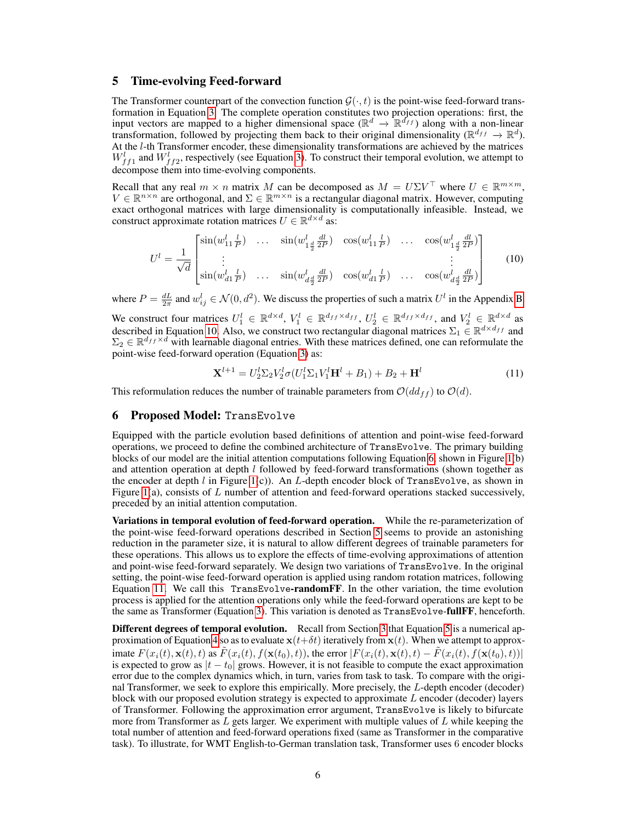## <span id="page-5-2"></span>5 Time-evolving Feed-forward

The Transformer counterpart of the convection function  $\mathcal{G}(\cdot, t)$  is the point-wise feed-forward transformation in Equation [3.](#page-2-1) The complete operation constitutes two projection operations: first, the input vectors are mapped to a higher dimensional space ( $\mathbb{R}^d \to \mathbb{R}^{\tilde{d}_{ff}}$ ) along with a non-linear transformation, followed by projecting them back to their original dimensionality ( $\mathbb{R}^{d_{ff}} \to \mathbb{R}^{d}$ ). At the l-th Transformer encoder, these dimensionality transformations are achieved by the matrices  $W_{f}^{l}$  and  $W_{f}^{l}$ , respectively (see Equation [3\)](#page-2-1). To construct their temporal evolution, we attempt to decompose them into time-evolving components.

Recall that any real  $m \times n$  matrix M can be decomposed as  $M = U \Sigma V^{\top}$  where  $U \in \mathbb{R}^{m \times m}$ ,  $V \in \mathbb{R}^{n \times n}$  are orthogonal, and  $\Sigma \in \mathbb{R}^{m \times n}$  is a rectangular diagonal matrix. However, computing exact orthogonal matrices with large dimensionality is computationally infeasible. Instead, we construct approximate rotation matrices  $U \in \mathbb{R}^{d \times d}$  as:

<span id="page-5-1"></span>
$$
U^{l} = \frac{1}{\sqrt{d}} \begin{bmatrix} \sin(w_{11}^{l} \frac{l}{P}) & \dots & \sin(w_{1\frac{d}{2}}^{l} \frac{dl}{2P}) & \cos(w_{11}^{l} \frac{l}{P}) & \dots & \cos(w_{1\frac{d}{2}}^{l} \frac{dl}{2P}) \\ \vdots & & & \vdots \\ \sin(w_{d1}^{l} \frac{l}{P}) & \dots & \sin(w_{d\frac{d}{2}}^{l} \frac{dl}{2P}) & \cos(w_{d1}^{l} \frac{l}{P}) & \dots & \cos(w_{d\frac{d}{2}}^{l} \frac{dl}{2P}) \end{bmatrix}
$$
(10)

where  $P = \frac{dL}{2\pi}$  and  $w_{ij}^l \in \mathcal{N}(0, d^2)$ . We discuss the properties of such a matrix  $U^l$  in the Appendix [B.](#page--1-0)

We construct four matrices  $U_1^l \in \mathbb{R}^{d \times d}$ ,  $V_1^l \in \mathbb{R}^{d_{ff} \times d_{ff}}$ ,  $U_2^l \in \mathbb{R}^{d_{ff} \times d_{ff}}$ , and  $V_2^l \in \mathbb{R}^{d \times d}$  as described in Equation [10.](#page-5-1) Also, we construct two rectangular diagonal matrices  $\Sigma_1 \in \mathbb{R}^{d \times d_{ff}}$  and  $\Sigma_2 \in \mathbb{R}^{d_{ff} \times d}$  with learnable diagonal entries. With these matrices defined, one can reformulate the point-wise feed-forward operation (Equation [3\)](#page-2-1) as:

<span id="page-5-3"></span>
$$
\mathbf{X}^{l+1} = U_2^l \Sigma_2 V_2^l \sigma (U_1^l \Sigma_1 V_1^l \mathbf{H}^l + B_1) + B_2 + \mathbf{H}^l \tag{11}
$$

This reformulation reduces the number of trainable parameters from  $\mathcal{O}(dd_{ff})$  to  $\mathcal{O}(d)$ .

#### <span id="page-5-0"></span>6 Proposed Model: TransEvolve

Equipped with the particle evolution based definitions of attention and point-wise feed-forward operations, we proceed to define the combined architecture of TransEvolve. The primary building blocks of our model are the initial attention computations following Equation [6,](#page-3-0) shown in Figure [1\(](#page-4-0)b) and attention operation at depth  $l$  followed by feed-forward transformations (shown together as the encoder at depth l in Figure [1\(](#page-4-0)c)). An L-depth encoder block of TransEvolve, as shown in Figure [1\(](#page-4-0)a), consists of  $L$  number of attention and feed-forward operations stacked successively, preceded by an initial attention computation.

Variations in temporal evolution of feed-forward operation. While the re-parameterization of the point-wise feed-forward operations described in Section [5](#page-5-2) seems to provide an astonishing reduction in the parameter size, it is natural to allow different degrees of trainable parameters for these operations. This allows us to explore the effects of time-evolving approximations of attention and point-wise feed-forward separately. We design two variations of TransEvolve. In the original setting, the point-wise feed-forward operation is applied using random rotation matrices, following Equation [11.](#page-5-3) We call this  $TransEvolve\text{-}randomFF$ . In the other variation, the time evolution process is applied for the attention operations only while the feed-forward operations are kept to be the same as Transformer (Equation [3\)](#page-2-1). This variation is denoted as TransEvolve-fullFF, henceforth.

Different degrees of temporal evolution. Recall from Section [3](#page-2-5) that Equation [5](#page-2-3) is a numerical ap-proximation of Equation [4](#page-2-2) so as to evaluate  $x(t+\delta t)$  iteratively from  $x(t)$ . When we attempt to approximate  $F(x_i(t), \mathbf{x}(t), t)$  as  $\overline{F}(x_i(t), f(\mathbf{x}(t_0), t))$ , the error  $|F(x_i(t), \mathbf{x}(t), t) - \overline{F}(x_i(t), f(\mathbf{x}(t_0), t))|$ is expected to grow as  $|t - t_0|$  grows. However, it is not feasible to compute the exact approximation error due to the complex dynamics which, in turn, varies from task to task. To compare with the original Transformer, we seek to explore this empirically. More precisely, the L-depth encoder (decoder) block with our proposed evolution strategy is expected to approximate  $L$  encoder (decoder) layers of Transformer. Following the approximation error argument, TransEvolve is likely to bifurcate more from Transformer as  $L$  gets larger. We experiment with multiple values of  $L$  while keeping the total number of attention and feed-forward operations fixed (same as Transformer in the comparative task). To illustrate, for WMT English-to-German translation task, Transformer uses 6 encoder blocks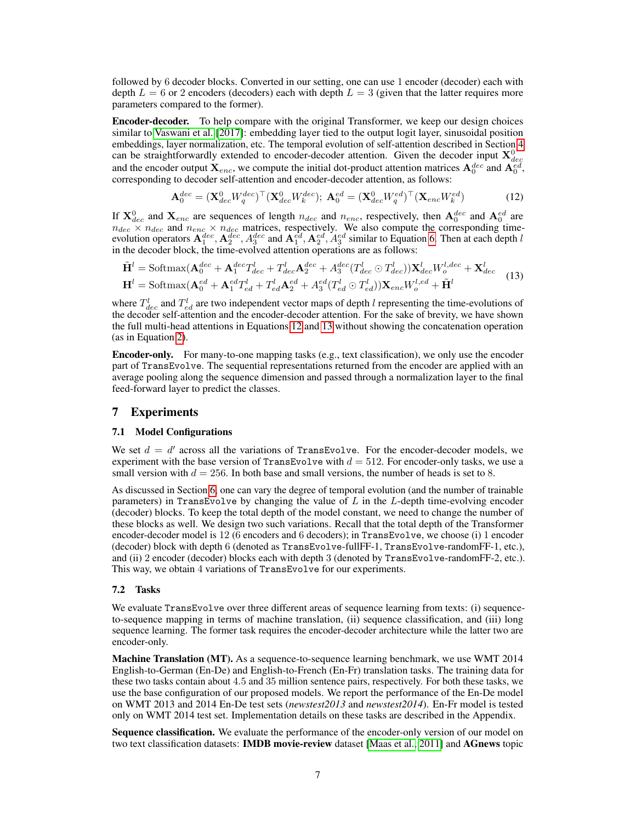followed by 6 decoder blocks. Converted in our setting, one can use 1 encoder (decoder) each with depth  $L = 6$  or 2 encoders (decoders) each with depth  $L = 3$  (given that the latter requires more parameters compared to the former).

Encoder-decoder. To help compare with the original Transformer, we keep our design choices similar to [Vaswani et al.](#page-12-0) [\[2017\]](#page-12-0): embedding layer tied to the output logit layer, sinusoidal position embeddings, layer normalization, etc. The temporal evolution of self-attention described in Section [4](#page-3-1) can be straightforwardly extended to encoder-decoder attention. Given the decoder input  $X_{dec}^0$  and the encoder output  $X_{enc}$ , we compute the initial dot-product attention matrices  $A_0^{dec}$  and  $A_0^{ed}$ , corresponding to decoder self-attention and encoder-decoder attention, as follows:

<span id="page-6-1"></span><span id="page-6-0"></span>
$$
\mathbf{A}_0^{dec} = (\mathbf{X}_{dec}^0 W_q^{dec})^\top (\mathbf{X}_{dec}^0 W_k^{dec}); \ \mathbf{A}_0^{ed} = (\mathbf{X}_{dec}^0 W_q^{ed})^\top (\mathbf{X}_{enc} W_k^{ed})
$$
(12)

If  $X_{dec}^0$  and  $X_{enc}$  are sequences of length  $n_{dec}$  and  $n_{enc}$ , respectively, then  $A_0^{dec}$  and  $A_0^{ed}$  are  $n_{dec} \times n_{dec}$  and  $n_{enc} \times n_{dec}$  matrices, respectively. We also compute the corresponding timeevolution operators  $A_1^{dec}$ ,  $A_2^{dec}$ ,  $A_3^{dec}$  and  $A_1^{ed}$ ,  $A_2^{ed}$ ,  $A_3^{ed}$  similar to Equation [6.](#page-3-0) Then at each depth l in the decoder block, the time-evolved attention operations are as follows:

$$
\tilde{\mathbf{H}}^{l} = \text{Softmax}(\mathbf{A}_{0}^{dec} + \mathbf{A}_{1}^{dec}T_{dec}^{l} + T_{dec}^{l}\mathbf{A}_{2}^{dec} + A_{3}^{dec}(T_{dec}^{l} \odot T_{dec}^{l}))\mathbf{X}_{dec}^{l}W_{o}^{l,dec} + \mathbf{X}_{dec}^{l}
$$
\n
$$
\mathbf{H}^{l} = \text{Softmax}(\mathbf{A}_{0}^{ed} + \mathbf{A}_{1}^{ed}T_{ed}^{l} + T_{ed}^{l}\mathbf{A}_{2}^{ed} + A_{3}^{ed}(T_{ed}^{l} \odot T_{ed}^{l}))\mathbf{X}_{enc}W_{o}^{l,ed} + \tilde{\mathbf{H}}^{l}
$$
\n(13)

where  $T_{dec}^l$  and  $T_{ed}^l$  are two independent vector maps of depth l representing the time-evolutions of the decoder self-attention and the encoder-decoder attention. For the sake of brevity, we have shown the full multi-head attentions in Equations [12](#page-6-0) and [13](#page-6-1) without showing the concatenation operation (as in Equation [2\)](#page-2-4).

Encoder-only. For many-to-one mapping tasks (e.g., text classification), we only use the encoder part of TransEvolve. The sequential representations returned from the encoder are applied with an average pooling along the sequence dimension and passed through a normalization layer to the final feed-forward layer to predict the classes.

#### 7 Experiments

#### 7.1 Model Configurations

We set  $d = d'$  across all the variations of TransEvolve. For the encoder-decoder models, we experiment with the base version of TransEvolve with  $d = 512$ . For encoder-only tasks, we use a small version with  $d = 256$ . In both base and small versions, the number of heads is set to 8.

As discussed in Section [6,](#page-5-0) one can vary the degree of temporal evolution (and the number of trainable parameters) in TransEvolve by changing the value of  $L$  in the  $L$ -depth time-evolving encoder (decoder) blocks. To keep the total depth of the model constant, we need to change the number of these blocks as well. We design two such variations. Recall that the total depth of the Transformer encoder-decoder model is 12 (6 encoders and 6 decoders); in TransEvolve, we choose (i) 1 encoder (decoder) block with depth 6 (denoted as TransEvolve-fullFF-1, TransEvolve-randomFF-1, etc.), and (ii) 2 encoder (decoder) blocks each with depth 3 (denoted by TransEvolve-randomFF-2, etc.). This way, we obtain 4 variations of TransEvolve for our experiments.

#### 7.2 Tasks

We evaluate TransEvolve over three different areas of sequence learning from texts: (i) sequenceto-sequence mapping in terms of machine translation, (ii) sequence classification, and (iii) long sequence learning. The former task requires the encoder-decoder architecture while the latter two are encoder-only.

Machine Translation (MT). As a sequence-to-sequence learning benchmark, we use WMT 2014 English-to-German (En-De) and English-to-French (En-Fr) translation tasks. The training data for these two tasks contain about 4.5 and 35 million sentence pairs, respectively. For both these tasks, we use the base configuration of our proposed models. We report the performance of the En-De model on WMT 2013 and 2014 En-De test sets (*newstest2013* and *newstest2014*). En-Fr model is tested only on WMT 2014 test set. Implementation details on these tasks are described in the Appendix.

Sequence classification. We evaluate the performance of the encoder-only version of our model on two text classification datasets: **IMDB movie-review** dataset [\[Maas et al., 2011\]](#page-11-9) and **AGnews** topic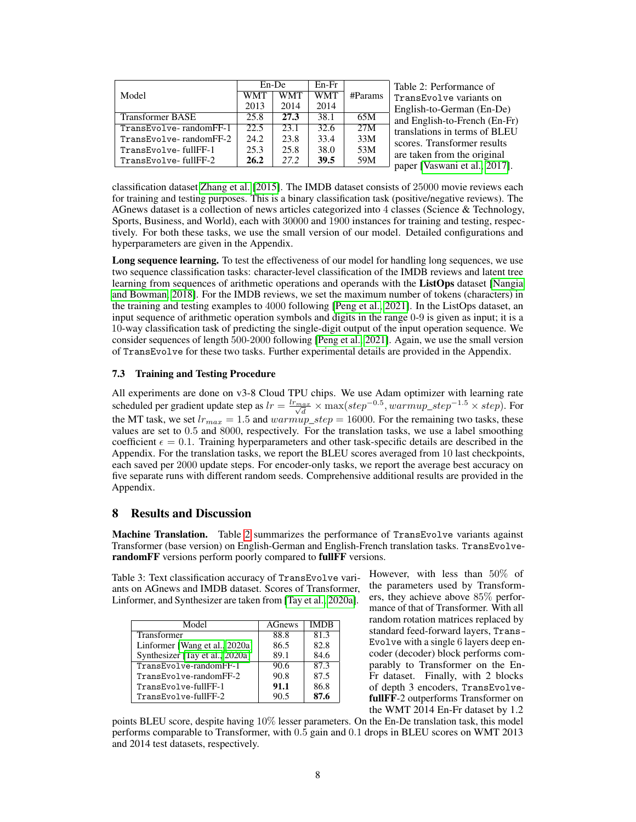<span id="page-7-0"></span>

| Model                   | $En$ -De<br>WMT<br>WMT<br>2013<br>2014 |      | $En-Fr$<br><b>WMT</b><br>2014 | #Params | Table 2: Performance of<br>TransEvolve variants on<br>English-to-German (En-De) |  |  |  |
|-------------------------|----------------------------------------|------|-------------------------------|---------|---------------------------------------------------------------------------------|--|--|--|
| <b>Transformer BASE</b> | 25.8                                   | 27.3 | 38.1                          | 65M     | and English-to-French (En-Fr)                                                   |  |  |  |
| TransEvolve-randomFF-1  | 22.5                                   | 23.1 | 32.6                          | 27M     | translations in terms of BLEU                                                   |  |  |  |
| TransEvolve-randomFF-2  | 24.2                                   | 23.8 | 33.4                          | 33M     | scores. Transformer results                                                     |  |  |  |
| TransEvolve-fullFF-1    | 25.3                                   | 25.8 | 38.0                          | 53M     |                                                                                 |  |  |  |
| TransEvolve-fullFF-2    | 26.2                                   | 27.2 | <b>39.5</b>                   | 59M     | are taken from the original<br>paper [Vaswani et al., 2017].                    |  |  |  |
|                         |                                        |      |                               |         |                                                                                 |  |  |  |

classification dataset [Zhang et al.](#page-13-1) [\[2015\]](#page-13-1). The IMDB dataset consists of 25000 movie reviews each for training and testing purposes. This is a binary classification task (positive/negative reviews). The AGnews dataset is a collection of news articles categorized into 4 classes (Science & Technology, Sports, Business, and World), each with 30000 and 1900 instances for training and testing, respectively. For both these tasks, we use the small version of our model. Detailed configurations and hyperparameters are given in the Appendix.

Long sequence learning. To test the effectiveness of our model for handling long sequences, we use two sequence classification tasks: character-level classification of the IMDB reviews and latent tree learning from sequences of arithmetic operations and operands with the **ListOps** dataset [\[Nangia](#page-11-10) [and Bowman, 2018\]](#page-11-10). For the IMDB reviews, we set the maximum number of tokens (characters) in the training and testing examples to 4000 following [\[Peng et al., 2021\]](#page-11-2). In the ListOps dataset, an input sequence of arithmetic operation symbols and digits in the range 0-9 is given as input; it is a 10-way classification task of predicting the single-digit output of the input operation sequence. We consider sequences of length 500-2000 following [\[Peng et al., 2021\]](#page-11-2). Again, we use the small version of TransEvolve for these two tasks. Further experimental details are provided in the Appendix.

#### 7.3 Training and Testing Procedure

All experiments are done on v3-8 Cloud TPU chips. We use Adam optimizer with learning rate scheduled per gradient update step as  $lr = \frac{lr_{max}}{\sqrt{d}} \times \max(step^{-0.5}, warmup\_step^{-1.5} \times step)$ . For the MT task, we set  $lr_{max} = 1.5$  and  $warmup\_step = 16000$ . For the remaining two tasks, these values are set to 0.5 and 8000, respectively. For the translation tasks, we use a label smoothing coefficient  $\epsilon = 0.1$ . Training hyperparameters and other task-specific details are described in the Appendix. For the translation tasks, we report the BLEU scores averaged from 10 last checkpoints, each saved per 2000 update steps. For encoder-only tasks, we report the average best accuracy on five separate runs with different random seeds. Comprehensive additional results are provided in the Appendix.

## 8 Results and Discussion

Machine Translation. Table [2](#page-7-0) summarizes the performance of TransEvolve variants against Transformer (base version) on English-German and English-French translation tasks. TransEvolverandomFF versions perform poorly compared to fullFF versions.

<span id="page-7-1"></span>Table 3: Text classification accuracy of TransEvolve variants on AGnews and IMDB dataset. Scores of Transformer, Linformer, and Synthesizer are taken from [\[Tay et al., 2020a\]](#page-12-12).

| Model                           | <b>AGnews</b> | <b>IMDB</b> |  |
|---------------------------------|---------------|-------------|--|
| Transformer                     | 88.8          | 81.3        |  |
| Linformer [Wang et al., 2020a]  | 86.5          | 82.8        |  |
| Synthesizer [Tay et al., 2020a] | 89.1          | 84.6        |  |
| TransEvolve-randomFF-1          | 90.6          | 87.3        |  |
| TransEvolve-randomFF-2          | 90.8          | 87.5        |  |
| TransEvolve-fullFF-1            | 91.1          | 86.8        |  |
| TransEvolve-fullFF-2            | 90.5          | 87.6        |  |

However, with less than 50% of the parameters used by Transformers, they achieve above 85% performance of that of Transformer. With all random rotation matrices replaced by standard feed-forward layers, Trans-Evolve with a single 6 layers deep encoder (decoder) block performs comparably to Transformer on the En-Fr dataset. Finally, with 2 blocks of depth 3 encoders, TransEvolvefullFF-2 outperforms Transformer on the WMT 2014 En-Fr dataset by 1.2

points BLEU score, despite having 10% lesser parameters. On the En-De translation task, this model performs comparable to Transformer, with 0.5 gain and 0.1 drops in BLEU scores on WMT 2013 and 2014 test datasets, respectively.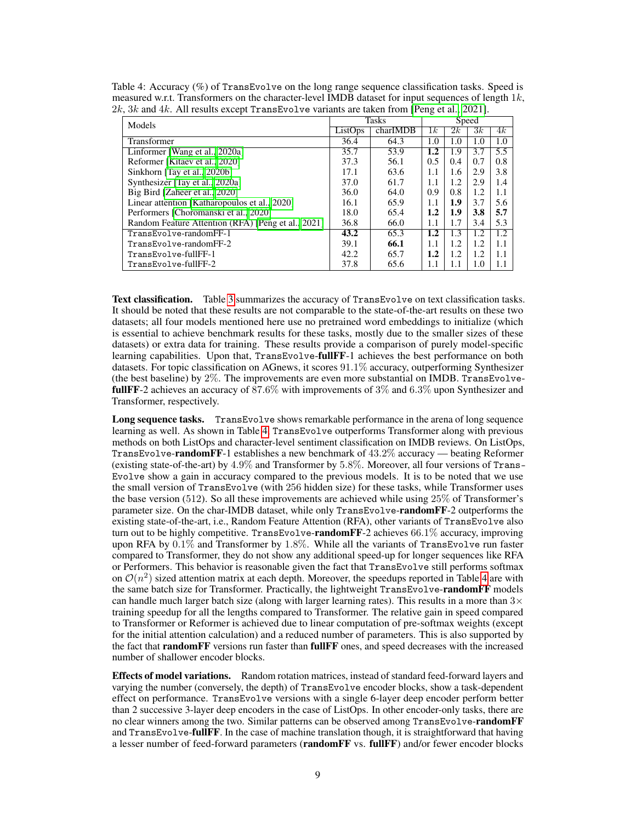| Models                                             | Tasks   |          | Speed   |     |     |     |
|----------------------------------------------------|---------|----------|---------|-----|-----|-----|
|                                                    | ListOps | charIMDB | 1 k     | 2k  | 3k  | 4k  |
| Transformer                                        | 36.4    | 64.3     | 1.0     | 1.0 | 1.0 | 1.0 |
| Linformer [Wang et al., 2020a]                     | 35.7    | 53.9     | $1.2\,$ | 1.9 | 3.7 | 5.5 |
| Reformer [Kitaev et al., 2020]                     | 37.3    | 56.1     | 0.5     | 0.4 | 0.7 | 0.8 |
| Sinkhorn [Tay et al., 2020b]                       | 17.1    | 63.6     | 1.1     | 1.6 | 2.9 | 3.8 |
| Synthesizer [Tay et al., 2020a]                    | 37.0    | 61.7     | 1.1     | 1.2 | 2.9 | 1.4 |
| Big Bird [Zaheer et al., 2020]                     | 36.0    | 64.0     | 0.9     | 0.8 | 1.2 | 1.1 |
| Linear attention [Katharopoulos et al., 2020]      | 16.1    | 65.9     | 1.1     | 1.9 | 3.7 | 5.6 |
| Performers [Choromanski et al., 2020]              | 18.0    | 65.4     | $1.2\,$ | 1.9 | 3.8 | 5.7 |
| Random Feature Attention (RFA) [Peng et al., 2021] | 36.8    | 66.0     | 1.1     | 1.7 | 3.4 | 5.3 |
| TransEvolve-randomFF-1                             | 43.2    | 65.3     | $1.2\,$ | 1.3 | 1.2 | 1.2 |
| TransEvolve-randomFF-2                             | 39.1    | 66.1     | 1.1     | 1.2 | 1.2 | 1.1 |
| TransEvolve-fullFF-1                               | 42.2    | 65.7     | $1.2\,$ | 1.2 | 1.2 | 1.1 |
| TransEvolve-fullFF-2                               | 37.8    | 65.6     | 1.1     | 1.1 | 1.0 | 1.1 |

<span id="page-8-0"></span>Table 4: Accuracy (%) of TransEvolve on the long range sequence classification tasks. Speed is measured w.r.t. Transformers on the character-level IMDB dataset for input sequences of length  $1k$ , 2k, 3k and 4k. All results except TransEvolve variants are taken from [\[Peng et al., 2021\]](#page-11-2).

Text classification. Table [3](#page-7-1) summarizes the accuracy of TransEvolve on text classification tasks. It should be noted that these results are not comparable to the state-of-the-art results on these two datasets; all four models mentioned here use no pretrained word embeddings to initialize (which is essential to achieve benchmark results for these tasks, mostly due to the smaller sizes of these datasets) or extra data for training. These results provide a comparison of purely model-specific learning capabilities. Upon that, TransEvolve-fullFF-1 achieves the best performance on both datasets. For topic classification on AGnews, it scores 91.1% accuracy, outperforming Synthesizer (the best baseline) by  $2\%$ . The improvements are even more substantial on IMDB. TransEvolvefullFF-2 achieves an accuracy of 87.6% with improvements of 3% and 6.3% upon Synthesizer and Transformer, respectively.

Long sequence tasks. TransEvolve shows remarkable performance in the arena of long sequence learning as well. As shown in Table [4,](#page-8-0) TransEvolve outperforms Transformer along with previous methods on both ListOps and character-level sentiment classification on IMDB reviews. On ListOps, TransEvolve-randomFF-1 establishes a new benchmark of 43.2% accuracy — beating Reformer (existing state-of-the-art) by 4.9% and Transformer by 5.8%. Moreover, all four versions of Trans-Evolve show a gain in accuracy compared to the previous models. It is to be noted that we use the small version of TransEvolve (with 256 hidden size) for these tasks, while Transformer uses the base version (512). So all these improvements are achieved while using 25% of Transformer's parameter size. On the char-IMDB dataset, while only TransEvolve-randomFF-2 outperforms the existing state-of-the-art, i.e., Random Feature Attention (RFA), other variants of TransEvolve also turn out to be highly competitive. TransEvolve-randomFF-2 achieves  $66.1\%$  accuracy, improving upon RFA by  $0.1\%$  and Transformer by 1.8%. While all the variants of TransEvolve run faster compared to Transformer, they do not show any additional speed-up for longer sequences like RFA or Performers. This behavior is reasonable given the fact that TransEvolve still performs softmax on  $\mathcal{O}(n^2)$  sized attention matrix at each depth. Moreover, the speedups reported in Table [4](#page-8-0) are with the same batch size for Transformer. Practically, the lightweight TransEvolve-randomFF models can handle much larger batch size (along with larger learning rates). This results in a more than  $3\times$ training speedup for all the lengths compared to Transformer. The relative gain in speed compared to Transformer or Reformer is achieved due to linear computation of pre-softmax weights (except for the initial attention calculation) and a reduced number of parameters. This is also supported by the fact that **randomFF** versions run faster than **fullFF** ones, and speed decreases with the increased number of shallower encoder blocks.

Effects of model variations. Random rotation matrices, instead of standard feed-forward layers and varying the number (conversely, the depth) of TransEvolve encoder blocks, show a task-dependent effect on performance. TransEvolve versions with a single 6-layer deep encoder perform better than 2 successive 3-layer deep encoders in the case of ListOps. In other encoder-only tasks, there are no clear winners among the two. Similar patterns can be observed among TransEvolve-randomFF and TransEvolve-fullFF. In the case of machine translation though, it is straightforward that having a lesser number of feed-forward parameters (randomFF vs. fullFF) and/or fewer encoder blocks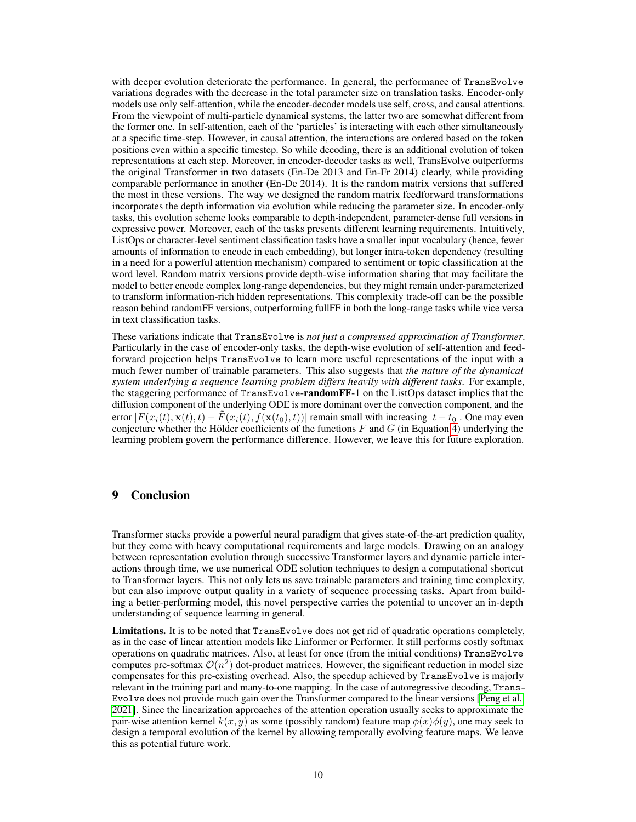with deeper evolution deteriorate the performance. In general, the performance of TransEvolve variations degrades with the decrease in the total parameter size on translation tasks. Encoder-only models use only self-attention, while the encoder-decoder models use self, cross, and causal attentions. From the viewpoint of multi-particle dynamical systems, the latter two are somewhat different from the former one. In self-attention, each of the 'particles' is interacting with each other simultaneously at a specific time-step. However, in causal attention, the interactions are ordered based on the token positions even within a specific timestep. So while decoding, there is an additional evolution of token representations at each step. Moreover, in encoder-decoder tasks as well, TransEvolve outperforms the original Transformer in two datasets (En-De 2013 and En-Fr 2014) clearly, while providing comparable performance in another (En-De 2014). It is the random matrix versions that suffered the most in these versions. The way we designed the random matrix feedforward transformations incorporates the depth information via evolution while reducing the parameter size. In encoder-only tasks, this evolution scheme looks comparable to depth-independent, parameter-dense full versions in expressive power. Moreover, each of the tasks presents different learning requirements. Intuitively, ListOps or character-level sentiment classification tasks have a smaller input vocabulary (hence, fewer amounts of information to encode in each embedding), but longer intra-token dependency (resulting in a need for a powerful attention mechanism) compared to sentiment or topic classification at the word level. Random matrix versions provide depth-wise information sharing that may facilitate the model to better encode complex long-range dependencies, but they might remain under-parameterized to transform information-rich hidden representations. This complexity trade-off can be the possible reason behind randomFF versions, outperforming fullFF in both the long-range tasks while vice versa in text classification tasks.

These variations indicate that TransEvolve is *not just a compressed approximation of Transformer*. Particularly in the case of encoder-only tasks, the depth-wise evolution of self-attention and feedforward projection helps TransEvolve to learn more useful representations of the input with a much fewer number of trainable parameters. This also suggests that *the nature of the dynamical system underlying a sequence learning problem differs heavily with different tasks*. For example, the staggering performance of TransEvolve-randomFF-1 on the ListOps dataset implies that the diffusion component of the underlying ODE is more dominant over the convection component, and the error  $|F(x_i(t), \mathbf{x}(t), t) - \tilde{F}(x_i(t), f(\mathbf{x}(t_0), t))|$  remain small with increasing  $|t - t_0|$ . One may even conjecture whether the Hölder coefficients of the functions  $F$  and  $G$  (in Equation [4\)](#page-2-2) underlying the learning problem govern the performance difference. However, we leave this for future exploration.

## 9 Conclusion

Transformer stacks provide a powerful neural paradigm that gives state-of-the-art prediction quality, but they come with heavy computational requirements and large models. Drawing on an analogy between representation evolution through successive Transformer layers and dynamic particle interactions through time, we use numerical ODE solution techniques to design a computational shortcut to Transformer layers. This not only lets us save trainable parameters and training time complexity, but can also improve output quality in a variety of sequence processing tasks. Apart from building a better-performing model, this novel perspective carries the potential to uncover an in-depth understanding of sequence learning in general.

Limitations. It is to be noted that TransEvolve does not get rid of quadratic operations completely, as in the case of linear attention models like Linformer or Performer. It still performs costly softmax operations on quadratic matrices. Also, at least for once (from the initial conditions) TransEvolve computes pre-softmax  $\mathcal{O}(n^2)$  dot-product matrices. However, the significant reduction in model size compensates for this pre-existing overhead. Also, the speedup achieved by TransEvolve is majorly relevant in the training part and many-to-one mapping. In the case of autoregressive decoding, Trans-Evolve does not provide much gain over the Transformer compared to the linear versions [\[Peng et al.,](#page-11-2) [2021\]](#page-11-2). Since the linearization approaches of the attention operation usually seeks to approximate the pair-wise attention kernel  $k(x, y)$  as some (possibly random) feature map  $\phi(x)\phi(y)$ , one may seek to design a temporal evolution of the kernel by allowing temporally evolving feature maps. We leave this as potential future work.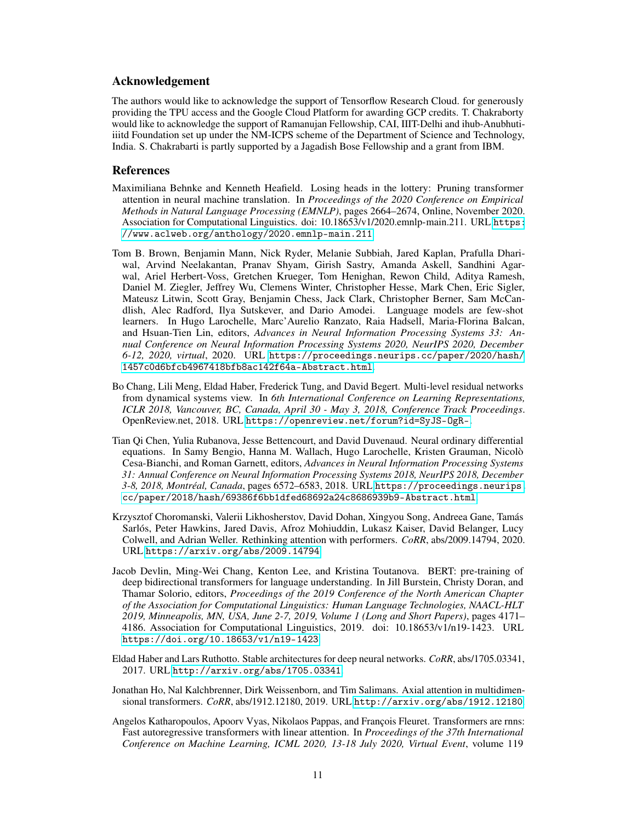#### Acknowledgement

The authors would like to acknowledge the support of Tensorflow Research Cloud. for generously providing the TPU access and the Google Cloud Platform for awarding GCP credits. T. Chakraborty would like to acknowledge the support of Ramanujan Fellowship, CAI, IIIT-Delhi and ihub-Anubhutiiiitd Foundation set up under the NM-ICPS scheme of the Department of Science and Technology, India. S. Chakrabarti is partly supported by a Jagadish Bose Fellowship and a grant from IBM.

#### References

- <span id="page-10-7"></span>Maximiliana Behnke and Kenneth Heafield. Losing heads in the lottery: Pruning transformer attention in neural machine translation. In *Proceedings of the 2020 Conference on Empirical Methods in Natural Language Processing (EMNLP)*, pages 2664–2674, Online, November 2020. Association for Computational Linguistics. doi: 10.18653/v1/2020.emnlp-main.211. URL [https:](https://www.aclweb.org/anthology/2020.emnlp-main.211) [//www.aclweb.org/anthology/2020.emnlp-main.211](https://www.aclweb.org/anthology/2020.emnlp-main.211).
- <span id="page-10-1"></span>Tom B. Brown, Benjamin Mann, Nick Ryder, Melanie Subbiah, Jared Kaplan, Prafulla Dhariwal, Arvind Neelakantan, Pranav Shyam, Girish Sastry, Amanda Askell, Sandhini Agarwal, Ariel Herbert-Voss, Gretchen Krueger, Tom Henighan, Rewon Child, Aditya Ramesh, Daniel M. Ziegler, Jeffrey Wu, Clemens Winter, Christopher Hesse, Mark Chen, Eric Sigler, Mateusz Litwin, Scott Gray, Benjamin Chess, Jack Clark, Christopher Berner, Sam McCandlish, Alec Radford, Ilya Sutskever, and Dario Amodei. Language models are few-shot learners. In Hugo Larochelle, Marc'Aurelio Ranzato, Raia Hadsell, Maria-Florina Balcan, and Hsuan-Tien Lin, editors, *Advances in Neural Information Processing Systems 33: Annual Conference on Neural Information Processing Systems 2020, NeurIPS 2020, December 6-12, 2020, virtual*, 2020. URL [https://proceedings.neurips.cc/paper/2020/hash/](https://proceedings.neurips.cc/paper/2020/hash/1457c0d6bfcb4967418bfb8ac142f64a-Abstract.html) [1457c0d6bfcb4967418bfb8ac142f64a-Abstract.html](https://proceedings.neurips.cc/paper/2020/hash/1457c0d6bfcb4967418bfb8ac142f64a-Abstract.html).
- <span id="page-10-2"></span>Bo Chang, Lili Meng, Eldad Haber, Frederick Tung, and David Begert. Multi-level residual networks from dynamical systems view. In *6th International Conference on Learning Representations, ICLR 2018, Vancouver, BC, Canada, April 30 - May 3, 2018, Conference Track Proceedings*. OpenReview.net, 2018. URL <https://openreview.net/forum?id=SyJS-OgR->.
- <span id="page-10-3"></span>Tian Qi Chen, Yulia Rubanova, Jesse Bettencourt, and David Duvenaud. Neural ordinary differential equations. In Samy Bengio, Hanna M. Wallach, Hugo Larochelle, Kristen Grauman, Nicolò Cesa-Bianchi, and Roman Garnett, editors, *Advances in Neural Information Processing Systems 31: Annual Conference on Neural Information Processing Systems 2018, NeurIPS 2018, December 3-8, 2018, Montréal, Canada*, pages 6572–6583, 2018. URL [https://proceedings.neurips.](https://proceedings.neurips.cc/paper/2018/hash/69386f6bb1dfed68692a24c8686939b9-Abstract.html) [cc/paper/2018/hash/69386f6bb1dfed68692a24c8686939b9-Abstract.html](https://proceedings.neurips.cc/paper/2018/hash/69386f6bb1dfed68692a24c8686939b9-Abstract.html).
- <span id="page-10-5"></span>Krzysztof Choromanski, Valerii Likhosherstov, David Dohan, Xingyou Song, Andreea Gane, Tamás Sarlós, Peter Hawkins, Jared Davis, Afroz Mohiuddin, Lukasz Kaiser, David Belanger, Lucy Colwell, and Adrian Weller. Rethinking attention with performers. *CoRR*, abs/2009.14794, 2020. URL <https://arxiv.org/abs/2009.14794>.
- <span id="page-10-0"></span>Jacob Devlin, Ming-Wei Chang, Kenton Lee, and Kristina Toutanova. BERT: pre-training of deep bidirectional transformers for language understanding. In Jill Burstein, Christy Doran, and Thamar Solorio, editors, *Proceedings of the 2019 Conference of the North American Chapter of the Association for Computational Linguistics: Human Language Technologies, NAACL-HLT 2019, Minneapolis, MN, USA, June 2-7, 2019, Volume 1 (Long and Short Papers)*, pages 4171– 4186. Association for Computational Linguistics, 2019. doi: 10.18653/v1/n19-1423. URL <https://doi.org/10.18653/v1/n19-1423>.
- <span id="page-10-4"></span>Eldad Haber and Lars Ruthotto. Stable architectures for deep neural networks. *CoRR*, abs/1705.03341, 2017. URL <http://arxiv.org/abs/1705.03341>.
- <span id="page-10-6"></span>Jonathan Ho, Nal Kalchbrenner, Dirk Weissenborn, and Tim Salimans. Axial attention in multidimensional transformers. *CoRR*, abs/1912.12180, 2019. URL <http://arxiv.org/abs/1912.12180>.
- <span id="page-10-8"></span>Angelos Katharopoulos, Apoorv Vyas, Nikolaos Pappas, and François Fleuret. Transformers are rnns: Fast autoregressive transformers with linear attention. In *Proceedings of the 37th International Conference on Machine Learning, ICML 2020, 13-18 July 2020, Virtual Event*, volume 119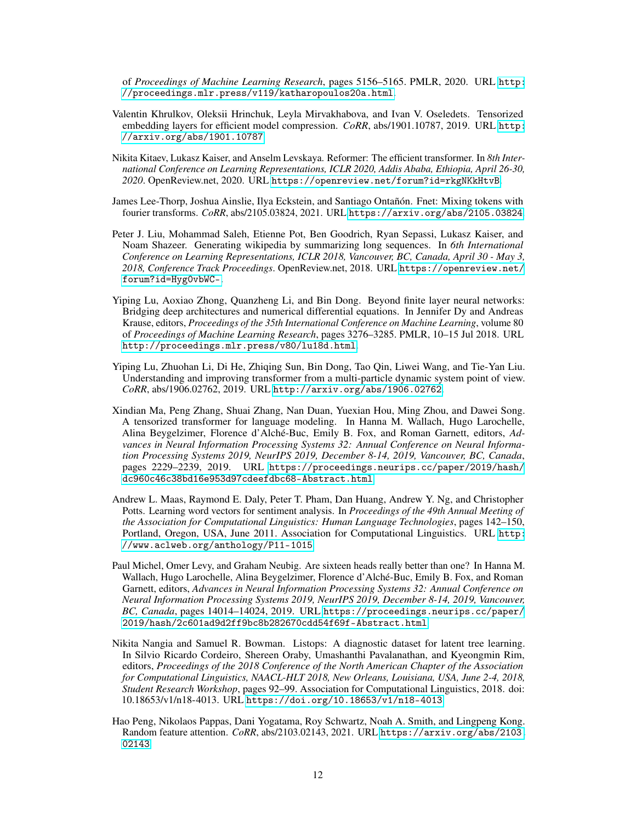of *Proceedings of Machine Learning Research*, pages 5156–5165. PMLR, 2020. URL [http:](http://proceedings.mlr.press/v119/katharopoulos20a.html) [//proceedings.mlr.press/v119/katharopoulos20a.html](http://proceedings.mlr.press/v119/katharopoulos20a.html).

- <span id="page-11-8"></span>Valentin Khrulkov, Oleksii Hrinchuk, Leyla Mirvakhabova, and Ivan V. Oseledets. Tensorized embedding layers for efficient model compression. *CoRR*, abs/1901.10787, 2019. URL [http:](http://arxiv.org/abs/1901.10787) [//arxiv.org/abs/1901.10787](http://arxiv.org/abs/1901.10787).
- <span id="page-11-4"></span>Nikita Kitaev, Lukasz Kaiser, and Anselm Levskaya. Reformer: The efficient transformer. In *8th International Conference on Learning Representations, ICLR 2020, Addis Ababa, Ethiopia, April 26-30, 2020*. OpenReview.net, 2020. URL <https://openreview.net/forum?id=rkgNKkHtvB>.
- <span id="page-11-5"></span>James Lee-Thorp, Joshua Ainslie, Ilya Eckstein, and Santiago Ontañón. Fnet: Mixing tokens with fourier transforms. *CoRR*, abs/2105.03824, 2021. URL <https://arxiv.org/abs/2105.03824>.
- <span id="page-11-3"></span>Peter J. Liu, Mohammad Saleh, Etienne Pot, Ben Goodrich, Ryan Sepassi, Lukasz Kaiser, and Noam Shazeer. Generating wikipedia by summarizing long sequences. In *6th International Conference on Learning Representations, ICLR 2018, Vancouver, BC, Canada, April 30 - May 3, 2018, Conference Track Proceedings*. OpenReview.net, 2018. URL [https://openreview.net/](https://openreview.net/forum?id=Hyg0vbWC-) [forum?id=Hyg0vbWC-](https://openreview.net/forum?id=Hyg0vbWC-).
- <span id="page-11-1"></span>Yiping Lu, Aoxiao Zhong, Quanzheng Li, and Bin Dong. Beyond finite layer neural networks: Bridging deep architectures and numerical differential equations. In Jennifer Dy and Andreas Krause, editors, *Proceedings of the 35th International Conference on Machine Learning*, volume 80 of *Proceedings of Machine Learning Research*, pages 3276–3285. PMLR, 10–15 Jul 2018. URL <http://proceedings.mlr.press/v80/lu18d.html>.
- <span id="page-11-0"></span>Yiping Lu, Zhuohan Li, Di He, Zhiqing Sun, Bin Dong, Tao Qin, Liwei Wang, and Tie-Yan Liu. Understanding and improving transformer from a multi-particle dynamic system point of view. *CoRR*, abs/1906.02762, 2019. URL <http://arxiv.org/abs/1906.02762>.
- <span id="page-11-7"></span>Xindian Ma, Peng Zhang, Shuai Zhang, Nan Duan, Yuexian Hou, Ming Zhou, and Dawei Song. A tensorized transformer for language modeling. In Hanna M. Wallach, Hugo Larochelle, Alina Beygelzimer, Florence d'Alché-Buc, Emily B. Fox, and Roman Garnett, editors, *Advances in Neural Information Processing Systems 32: Annual Conference on Neural Information Processing Systems 2019, NeurIPS 2019, December 8-14, 2019, Vancouver, BC, Canada*, pages 2229–2239, 2019. URL [https://proceedings.neurips.cc/paper/2019/hash/](https://proceedings.neurips.cc/paper/2019/hash/dc960c46c38bd16e953d97cdeefdbc68-Abstract.html) [dc960c46c38bd16e953d97cdeefdbc68-Abstract.html](https://proceedings.neurips.cc/paper/2019/hash/dc960c46c38bd16e953d97cdeefdbc68-Abstract.html).
- <span id="page-11-9"></span>Andrew L. Maas, Raymond E. Daly, Peter T. Pham, Dan Huang, Andrew Y. Ng, and Christopher Potts. Learning word vectors for sentiment analysis. In *Proceedings of the 49th Annual Meeting of the Association for Computational Linguistics: Human Language Technologies*, pages 142–150, Portland, Oregon, USA, June 2011. Association for Computational Linguistics. URL [http:](http://www.aclweb.org/anthology/P11-1015) [//www.aclweb.org/anthology/P11-1015](http://www.aclweb.org/anthology/P11-1015).
- <span id="page-11-6"></span>Paul Michel, Omer Levy, and Graham Neubig. Are sixteen heads really better than one? In Hanna M. Wallach, Hugo Larochelle, Alina Beygelzimer, Florence d'Alché-Buc, Emily B. Fox, and Roman Garnett, editors, *Advances in Neural Information Processing Systems 32: Annual Conference on Neural Information Processing Systems 2019, NeurIPS 2019, December 8-14, 2019, Vancouver, BC, Canada*, pages 14014–14024, 2019. URL [https://proceedings.neurips.cc/paper/](https://proceedings.neurips.cc/paper/2019/hash/2c601ad9d2ff9bc8b282670cdd54f69f-Abstract.html) [2019/hash/2c601ad9d2ff9bc8b282670cdd54f69f-Abstract.html](https://proceedings.neurips.cc/paper/2019/hash/2c601ad9d2ff9bc8b282670cdd54f69f-Abstract.html).
- <span id="page-11-10"></span>Nikita Nangia and Samuel R. Bowman. Listops: A diagnostic dataset for latent tree learning. In Silvio Ricardo Cordeiro, Shereen Oraby, Umashanthi Pavalanathan, and Kyeongmin Rim, editors, *Proceedings of the 2018 Conference of the North American Chapter of the Association for Computational Linguistics, NAACL-HLT 2018, New Orleans, Louisiana, USA, June 2-4, 2018, Student Research Workshop*, pages 92–99. Association for Computational Linguistics, 2018. doi: 10.18653/v1/n18-4013. URL <https://doi.org/10.18653/v1/n18-4013>.
- <span id="page-11-2"></span>Hao Peng, Nikolaos Pappas, Dani Yogatama, Roy Schwartz, Noah A. Smith, and Lingpeng Kong. Random feature attention. *CoRR*, abs/2103.02143, 2021. URL [https://arxiv.org/abs/2103.](https://arxiv.org/abs/2103.02143) [02143](https://arxiv.org/abs/2103.02143).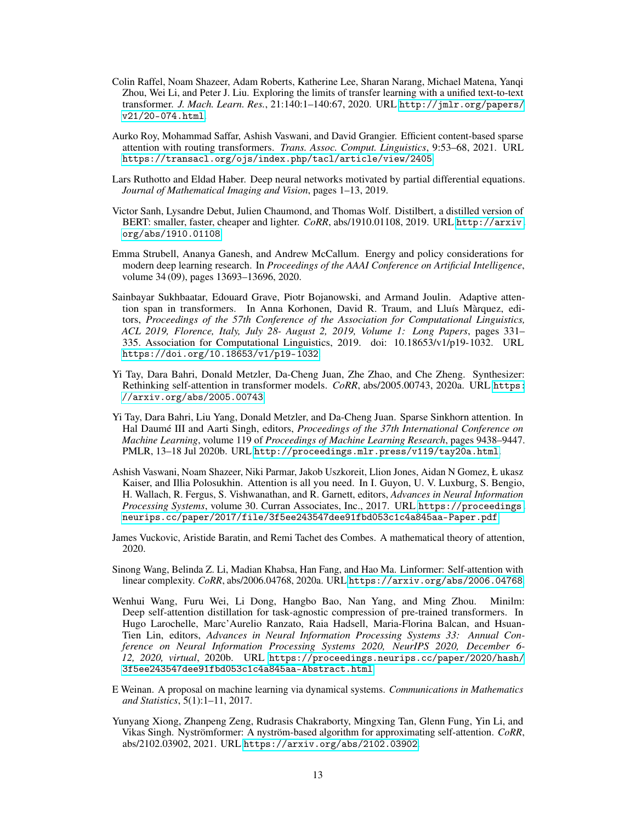- <span id="page-12-1"></span>Colin Raffel, Noam Shazeer, Adam Roberts, Katherine Lee, Sharan Narang, Michael Matena, Yanqi Zhou, Wei Li, and Peter J. Liu. Exploring the limits of transfer learning with a unified text-to-text transformer. *J. Mach. Learn. Res.*, 21:140:1–140:67, 2020. URL [http://jmlr.org/papers/](http://jmlr.org/papers/v21/20-074.html) [v21/20-074.html](http://jmlr.org/papers/v21/20-074.html).
- <span id="page-12-8"></span>Aurko Roy, Mohammad Saffar, Ashish Vaswani, and David Grangier. Efficient content-based sparse attention with routing transformers. *Trans. Assoc. Comput. Linguistics*, 9:53–68, 2021. URL <https://transacl.org/ojs/index.php/tacl/article/view/2405>.
- <span id="page-12-5"></span>Lars Ruthotto and Eldad Haber. Deep neural networks motivated by partial differential equations. *Journal of Mathematical Imaging and Vision*, pages 1–13, 2019.
- <span id="page-12-10"></span>Victor Sanh, Lysandre Debut, Julien Chaumond, and Thomas Wolf. Distilbert, a distilled version of BERT: smaller, faster, cheaper and lighter. *CoRR*, abs/1910.01108, 2019. URL [http://arxiv.](http://arxiv.org/abs/1910.01108) [org/abs/1910.01108](http://arxiv.org/abs/1910.01108).
- <span id="page-12-2"></span>Emma Strubell, Ananya Ganesh, and Andrew McCallum. Energy and policy considerations for modern deep learning research. In *Proceedings of the AAAI Conference on Artificial Intelligence*, volume 34 (09), pages 13693–13696, 2020.
- <span id="page-12-9"></span>Sainbayar Sukhbaatar, Edouard Grave, Piotr Bojanowski, and Armand Joulin. Adaptive attention span in transformers. In Anna Korhonen, David R. Traum, and Lluís Màrquez, editors, *Proceedings of the 57th Conference of the Association for Computational Linguistics, ACL 2019, Florence, Italy, July 28- August 2, 2019, Volume 1: Long Papers*, pages 331– 335. Association for Computational Linguistics, 2019. doi: 10.18653/v1/p19-1032. URL <https://doi.org/10.18653/v1/p19-1032>.
- <span id="page-12-12"></span>Yi Tay, Dara Bahri, Donald Metzler, Da-Cheng Juan, Zhe Zhao, and Che Zheng. Synthesizer: Rethinking self-attention in transformer models. *CoRR*, abs/2005.00743, 2020a. URL [https:](https://arxiv.org/abs/2005.00743) [//arxiv.org/abs/2005.00743](https://arxiv.org/abs/2005.00743).
- <span id="page-12-13"></span>Yi Tay, Dara Bahri, Liu Yang, Donald Metzler, and Da-Cheng Juan. Sparse Sinkhorn attention. In Hal Daumé III and Aarti Singh, editors, *Proceedings of the 37th International Conference on Machine Learning*, volume 119 of *Proceedings of Machine Learning Research*, pages 9438–9447. PMLR, 13–18 Jul 2020b. URL <http://proceedings.mlr.press/v119/tay20a.html>.
- <span id="page-12-0"></span>Ashish Vaswani, Noam Shazeer, Niki Parmar, Jakob Uszkoreit, Llion Jones, Aidan N Gomez, Ł ukasz Kaiser, and Illia Polosukhin. Attention is all you need. In I. Guyon, U. V. Luxburg, S. Bengio, H. Wallach, R. Fergus, S. Vishwanathan, and R. Garnett, editors, *Advances in Neural Information Processing Systems*, volume 30. Curran Associates, Inc., 2017. URL [https://proceedings.](https://proceedings.neurips.cc/paper/2017/file/3f5ee243547dee91fbd053c1c4a845aa-Paper.pdf) [neurips.cc/paper/2017/file/3f5ee243547dee91fbd053c1c4a845aa-Paper.pdf](https://proceedings.neurips.cc/paper/2017/file/3f5ee243547dee91fbd053c1c4a845aa-Paper.pdf).
- <span id="page-12-3"></span>James Vuckovic, Aristide Baratin, and Remi Tachet des Combes. A mathematical theory of attention, 2020.
- <span id="page-12-6"></span>Sinong Wang, Belinda Z. Li, Madian Khabsa, Han Fang, and Hao Ma. Linformer: Self-attention with linear complexity. *CoRR*, abs/2006.04768, 2020a. URL <https://arxiv.org/abs/2006.04768>.
- <span id="page-12-11"></span>Wenhui Wang, Furu Wei, Li Dong, Hangbo Bao, Nan Yang, and Ming Zhou. Minilm: Deep self-attention distillation for task-agnostic compression of pre-trained transformers. In Hugo Larochelle, Marc'Aurelio Ranzato, Raia Hadsell, Maria-Florina Balcan, and Hsuan-Tien Lin, editors, *Advances in Neural Information Processing Systems 33: Annual Conference on Neural Information Processing Systems 2020, NeurIPS 2020, December 6- 12, 2020, virtual*, 2020b. URL [https://proceedings.neurips.cc/paper/2020/hash/](https://proceedings.neurips.cc/paper/2020/hash/3f5ee243547dee91fbd053c1c4a845aa-Abstract.html) [3f5ee243547dee91fbd053c1c4a845aa-Abstract.html](https://proceedings.neurips.cc/paper/2020/hash/3f5ee243547dee91fbd053c1c4a845aa-Abstract.html).
- <span id="page-12-4"></span>E Weinan. A proposal on machine learning via dynamical systems. *Communications in Mathematics and Statistics*, 5(1):1–11, 2017.
- <span id="page-12-7"></span>Yunyang Xiong, Zhanpeng Zeng, Rudrasis Chakraborty, Mingxing Tan, Glenn Fung, Yin Li, and Vikas Singh. Nyströmformer: A nyström-based algorithm for approximating self-attention. *CoRR*, abs/2102.03902, 2021. URL <https://arxiv.org/abs/2102.03902>.